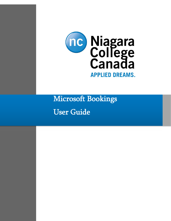

Microsoft Bookings

User Guide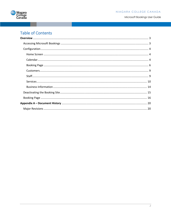

# **Table of Contents**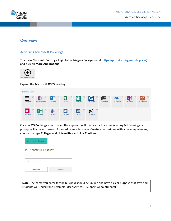

# **Overview**

# Accessing Microsoft Bookings

To access Microsoft Bookings, login to the Niagara College portal (https://portalnc.niagaracollege.ca/) and click on **More Applications**



### Expand the **Microsoft O365** heading

| Microsoft 0365                                                                                      |                            |                                        |                                   |                                        |                              |                          |                                     |                                  |
|-----------------------------------------------------------------------------------------------------|----------------------------|----------------------------------------|-----------------------------------|----------------------------------------|------------------------------|--------------------------|-------------------------------------|----------------------------------|
| $-0$<br>$\frac{1}{2}$<br>宮<br>N <sup>2</sup><br>+<br><b>MS Bookings</b><br><b>MS Class Notebook</b> | 宣<br>D<br>MS Delve         | *<br>$\blacksquare$<br><b>MS Excel</b> | 宵<br><b>FB</b><br><b>MS Forms</b> | G<br>☆<br><b>M5 Gartner</b>            | ŵ<br>囯<br><b>MS Newsfeed</b> | 52<br><b>MS OneDrive</b> | <b>NB</b><br>茸<br><b>MS OneNote</b> | 152<br>⊫<br><b>MS PowerPoint</b> |
| 淀<br>Ŵ<br>$\mathbb{R}$<br>٠<br>υ<br><b>MS Stream</b><br><b>MS Sway</b>                              | Ŵ<br>TB<br><b>MS Teams</b> | 容<br>V3<br><b>MS Video</b>             | q<br><b>MS Word</b>               | 宾<br>$\frac{1}{2}$<br><b>MS Yammer</b> |                              |                          |                                     |                                  |

Click on **MS Bookings** icon to open the application. If this is your first-time opening MS Bookings, a prompt will appear to search for or add a new business. Create your business with a meaningful name, choose the type **Colleges and Universities** and click **Continue**.

| Welcome to Bookings         |          |
|-----------------------------|----------|
| Tell us about your business |          |
| <b>Business name</b>        |          |
| Colleges & Universities     |          |
| No thanks                   | Continue |

**Note:** The name you enter for the business should be unique and have a clear purpose that staff and students will understand (Example: User Services – Support Appointments)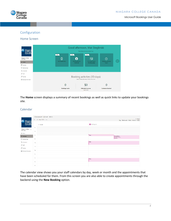

# Configuration

## Home Screen



The **Home** screen displays a summary of recent bookings as well as quick links to update your bookings site.

### Calendar



The calendar view shows you your staff calendars by day, week or month and the appointments that have been scheduled for them. From this screen you are also able to create appointments through the backend using the **New Booking** option.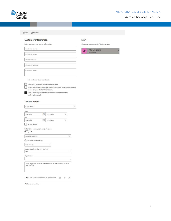#### NIAGARA COLLEGE CANADA



**品** Save **自** Discard

Customer name

Customer email Phone number

Customer address Customer notes

#### **Customer information**

Enter customer and service information

#### Staff

Choose one or more staff for the service



Edit customer details and notes

Don't send customer an email confirmation. Enable customers to manage their appointment when it was booked by you or your staff on their behalf. Send a meeting invite to the customer, in addition to the confirmation email.

#### Service details

| Consultation                                                  |                                                                      |
|---------------------------------------------------------------|----------------------------------------------------------------------|
| Start                                                         |                                                                      |
| 氚<br>5/4/2020                                                 | 11:00 AM                                                             |
| End                                                           |                                                                      |
| ñπ<br>5/4/2020                                                | 1:30 AM                                                              |
| All day event<br>Buffer time your customers can't book<br>Off |                                                                      |
| Our office address                                            | $\times$                                                             |
| the This is an online meeting                                 |                                                                      |
| Price not set                                                 |                                                                      |
| Are you a staff member or a student?                          |                                                                      |
| Staff                                                         |                                                                      |
| Department:                                                   |                                                                      |
|                                                               |                                                                      |
| your staff see.                                               | This is where you can add notes about this service that only you and |
| 1 day: Just a reminder we have an appointment                 |                                                                      |

Add an email reminder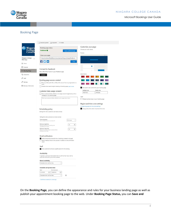

# Booking Page

|                                 | $1$ Save and publish                                                                                                                           |                                                                                          |              |
|---------------------------------|------------------------------------------------------------------------------------------------------------------------------------------------|------------------------------------------------------------------------------------------|--------------|
| <b>Niagara</b>                  | <b>Booking page status</b>                                                                                                                     | Customize your page                                                                      |              |
| nc<br>lege                      | Published <sup>O</sup><br>Open published page                                                                                                  | Choose your color theme                                                                  |              |
| Canada                          |                                                                                                                                                | Preview                                                                                  |              |
|                                 | Share your page                                                                                                                                |                                                                                          | 0.0.0        |
| Niagara College - V<br>PPO Test | https://outlook.office365.com/owa/calendar/NiagaraCollegeTest@ncst                                                                             |                                                                                          |              |
| the Home                        | <u>fivial</u><br>Copy                                                                                                                          |                                                                                          |              |
| Calendar                        |                                                                                                                                                |                                                                                          |              |
| <b>Booking Page</b>             | Connect to Facebook<br>Add a "Book Now" button to your Facebook page.                                                                          |                                                                                          |              |
| P <sub>p</sub> Customers        | Connect                                                                                                                                        | Color theme                                                                              |              |
| o <sup>8</sup> Staff            |                                                                                                                                                |                                                                                          |              |
|                                 | Booking page access control                                                                                                                    |                                                                                          |              |
| <sup>2</sup> Services           | Require a Microsoft 365 or Office 365 account from my organization to<br>book                                                                  |                                                                                          |              |
| <b>Business Information</b>     | Disable direct search engine indexing of booking page Learn more                                                                               | Set custom color scheme for your booking page                                            |              |
|                                 |                                                                                                                                                | <b>Highlight</b> color                                                                   | Header color |
|                                 | Customer data usage consent<br>Show a personal data collection and usage consent toggle along with a                                           | #007DC3                                                                                  | #003a6c      |
|                                 | message on my booking page                                                                                                                     | Logo                                                                                     |              |
|                                 | Enter your personal data collection and usage terms here.                                                                                      | Display business logo on your booking page                                               |              |
|                                 |                                                                                                                                                |                                                                                          |              |
|                                 |                                                                                                                                                | Region and time zone settings                                                            |              |
|                                 |                                                                                                                                                | Change language and time zone settings<br>X Always show time slots in business time zone |              |
|                                 | Scheduling policy<br>Settings for when customers can book services                                                                             |                                                                                          |              |
|                                 |                                                                                                                                                |                                                                                          |              |
|                                 | Settings for when customers can book services                                                                                                  |                                                                                          |              |
|                                 | Time increments<br>30 minutes<br>$\sim$<br>Show available times in increments of:                                                              |                                                                                          |              |
|                                 | Minimum lead time<br>ы<br>12<br>Minimum lead time for bookings and<br>cancellations (in hours)                                                 |                                                                                          |              |
|                                 | Maximum lead time<br>30<br>G)<br>Maximum number of days in advance that a<br>booking can be made                                               |                                                                                          |              |
|                                 |                                                                                                                                                |                                                                                          |              |
|                                 | <b>Email notifications</b>                                                                                                                     |                                                                                          |              |
|                                 | V Notify the business via email when a booking is created or changed<br>Send a meeting invite to the customer, in addition to the confirmation |                                                                                          |              |
|                                 | email.                                                                                                                                         |                                                                                          |              |
|                                 | Staff                                                                                                                                          |                                                                                          |              |
|                                 | Allow customers to choose a specific person for the booking                                                                                    |                                                                                          |              |
|                                 | Availability                                                                                                                                   |                                                                                          |              |
|                                 | In general, a service can be booked when its staff are free. If you wish to<br>customize this further, you can do so below.                    |                                                                                          |              |
|                                 | General availability:                                                                                                                          |                                                                                          |              |
|                                 | Bookable when staff are free<br>Ň,                                                                                                             |                                                                                          |              |
|                                 | Availability during these dates:                                                                                                               |                                                                                          |              |
|                                 | End (indusive)<br>Start                                                                                                                        |                                                                                          |              |
|                                 | 5/1/2020<br>5/8/2020<br>曲<br>曲                                                                                                                 |                                                                                          |              |
|                                 | 圎<br>Bookable when staff are free<br>$\checkmark$                                                                                              |                                                                                          |              |
|                                 | - Set different availability for a date range                                                                                                  |                                                                                          |              |

On the **Booking Page**, you can define the appearance and rules for your business landing page as well as publish your appointment booking page to the web. Under **Booking Page Status,** you can **Save and**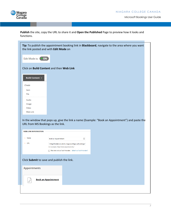

**Publish** the site, copy the URL to share it and **Open the Published** Page to preview how it looks and functions.

| the link posted and with Edit Mode on                            | Tip: To publish the appointment booking link in Blackboard, navigate to the area where you want |
|------------------------------------------------------------------|-------------------------------------------------------------------------------------------------|
| Edit Mode is: (<br>• ON                                          |                                                                                                 |
|                                                                  | Click on Build Content and then Web Link                                                        |
| <b>Build Content v</b>                                           |                                                                                                 |
| Create                                                           |                                                                                                 |
| Item                                                             |                                                                                                 |
| File                                                             |                                                                                                 |
| Audio                                                            |                                                                                                 |
| Image                                                            |                                                                                                 |
| Video                                                            |                                                                                                 |
| Web Link                                                         |                                                                                                 |
| URL from MS Bookings as the link.<br><b>WEB LINK INFORMATION</b> | In the window that pops up, give the link a name (Example: "Book an Appointment") and paste the |
| * Name                                                           | Book an Appointment                                                                             |
| * URL                                                            |                                                                                                 |
|                                                                  | IollegeTest@ncstudents.niagaracollege.ca/bookings/<br>For example, http://www.myschool.edu/     |
|                                                                  | $\Box$ This link is to a Tool Provider. What's a Tool Provider?                                 |
|                                                                  | Click Submit to save and publish the link.                                                      |
| Appointments                                                     |                                                                                                 |
| P                                                                | <b>Book an Appointment</b>                                                                      |
|                                                                  |                                                                                                 |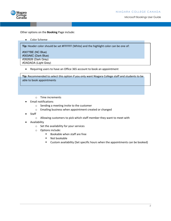

Other options on the **Booking** Page include:

• Color Scheme

**Tip:** Header color should be set #FFFFFF (White) and the highlight color can be one of:

#0077BE (NC Blue) #003A6C (Dark Blue) #262626 (Dark Grey) #DADADA (Light Grey)

• Requiring users to have an Office 365 account to book an appointment

**Tip:** Recommended to select this option if you only want Niagara College staff and students to be able to book appointments

o Time increments

of  $\mathcal{O}_\mathbf{R}$  and times the finite lead times of times  $\mathcal{O}_\mathbf{R}$ 

- Email notifications
	- o Sending a meeting invite to the customer
	- o Emailing business when appointment created or changed
- Staff
	- o Allowing customers to pick which staff member they want to meet with
- Availability
	- o Set the availability for your services
	- o Options include:
		- § Bookable when staff are free
		- Not bookable
		- § Custom availability (Set specific hours when the appointments can be booked)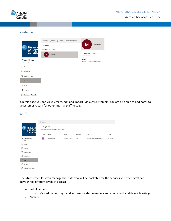

### Customers

| nc Niagara<br>College<br>Canada        | $+$ New $\oslash$ Edit $\bar{m}$ Delete<br>Import customers<br>Customer<br><b>Manage Customers</b> | M<br>Michelle                         |
|----------------------------------------|----------------------------------------------------------------------------------------------------|---------------------------------------|
|                                        | M<br>Michelle                                                                                      | Contacts<br><b>Notes</b>              |
| Niagara College - V<br><b>PPO Test</b> |                                                                                                    | Email<br>Email: michellemax@cogeco.ca |
| $n$ Home                               |                                                                                                    |                                       |
| 扁<br>Calendar                          |                                                                                                    |                                       |
| <b>Booking Page</b><br>₽               |                                                                                                    |                                       |
| $P_{\rm g}$ Customers                  |                                                                                                    |                                       |
| $gQ$ Staff                             |                                                                                                    |                                       |
| Services                               |                                                                                                    |                                       |
| <b>Business Information</b><br>Œ       |                                                                                                    |                                       |

On this page you can view, create, edit and import (via CSV) customers. You are also able to add notes to a customer record for other internal staff to see.

#### Staff

|                                                     | $+Add$ staff |                                                   |               |          |                               |          |
|-----------------------------------------------------|--------------|---------------------------------------------------|---------------|----------|-------------------------------|----------|
| Niagara<br>College<br>Canada<br>nc                  | Manage staff | Add and edit information about your staff members |               |          |                               |          |
|                                                     | Initials     | Name                                              | Role          | Bookable | Email                         | Phone    |
| Niagara College -<br>$\ddotmark$<br><b>PPO</b> Test | MS)          | Mat Steglinski                                    | Administrator | Yes      | msteglinski@niagaracollege.ca | No phone |
| the Home                                            |              |                                                   |               |          |                               |          |
| 閜<br>Calendar                                       |              |                                                   |               |          |                               |          |
| Q<br>Booking Page                                   |              |                                                   |               |          |                               |          |
| $Pg$ Customers                                      |              |                                                   |               |          |                               |          |
| $R_{R}$<br>Staff                                    |              |                                                   |               |          |                               |          |
| P<br>Services                                       |              |                                                   |               |          |                               |          |
| <b>Business Information</b><br>◫                    |              |                                                   |               |          |                               |          |

The **Staff** screen lets you manage the staff who will be bookable for the services you offer. Staff can have three different levels of access:

• Administrator

o Can edit all settings, add, or remove staff members and create, edit and delete bookings

• Viewer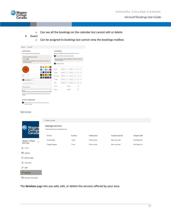#### NIAGARA COLLEGE CANADA



- Microsoft Bookings User Guide
- o Can see all the bookings on the calendar but cannot edit or delete
- Guest
	- o Can be assigned to bookings but cannot view the bookings mailbox



#### Services

reated or changed

|                                 | $+A$ dd a service                                         |          |               |                  |                |
|---------------------------------|-----------------------------------------------------------|----------|---------------|------------------|----------------|
| nc Niagara<br>College<br>Canada | Manage services<br>Create and edit your bookable services |          |               |                  |                |
|                                 | Service                                                   | Duration | Default price | Payment required | Assigned staff |
| Niagara College - V             | Consultation                                              | 1 hour   | Price not set | None required    | Mat Steglinski |
| <b>PPO Test</b>                 | Project Request                                           | 1 hour   | Price not set | None required    | Mat Steglinski |
| d Home                          |                                                           |          |               |                  |                |
| Calendar                        |                                                           |          |               |                  |                |
| Booking Page                    |                                                           |          |               |                  |                |
| $P_{\mathbf{g}}$ Customers      |                                                           |          |               |                  |                |
| $R^R$ Staff                     |                                                           |          |               |                  |                |
| $\mathscr{P}$ Services          |                                                           |          |               |                  |                |
| <b>■</b> Business Information   |                                                           |          |               |                  |                |

The **Services** page lets you add, edit, or delete the services offered by your area.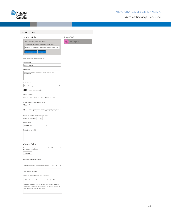



| Service details                                                                                               | Assign Staff          |
|---------------------------------------------------------------------------------------------------------------|-----------------------|
| Share your page for this service                                                                              | Mat Steglinski<br>MS. |
| Share a booking page URL specifically for this service                                                        |                       |
| https://outlook.office365.com/owa/calendar/NiagaraColle                                                       |                       |
| <b>Share via Email</b><br>Copy                                                                                |                       |
| Enter information about your service                                                                          |                       |
| Service name                                                                                                  |                       |
| Project Request                                                                                               |                       |
| Description                                                                                                   |                       |
| Schedule a meeting to discuss a new project for your<br>department                                            |                       |
|                                                                                                               |                       |
| Default location<br>×<br>Teams Meeting                                                                        |                       |
| Add online meeting 1                                                                                          |                       |
| Default Duration                                                                                              |                       |
| Days $  0$<br>Hours 1<br>Minutes 0                                                                            |                       |
| Buffer time your customers can't book<br>) Off                                                                |                       |
|                                                                                                               |                       |
| Enable customers to manage their appointment when it<br>۰<br>was booked by you or your staff on their behalf. |                       |
|                                                                                                               |                       |
|                                                                                                               |                       |
| Maximum number of attendees per event                                                                         |                       |
| Maximum Attendees<br>5<br>÷                                                                                   |                       |
| Default price                                                                                                 |                       |
| Price not set                                                                                                 |                       |
| Notes (internal only)                                                                                         |                       |
|                                                                                                               |                       |
|                                                                                                               |                       |
|                                                                                                               |                       |
| <b>Custom Fields</b>                                                                                          |                       |
| 0 required and 1 optional custom fields selected. You can modify<br>the selected fields below.                |                       |
| Modify                                                                                                        |                       |
| Reminders and Confirmations                                                                                   |                       |
|                                                                                                               |                       |
| 1 day : Just a quick reminder that your ser<br>$\hat{\wedge}$ $\emptyset$ $\times$                            |                       |
| Add an email reminder                                                                                         |                       |
| Additional Information for Email Confirmation                                                                 |                       |
| $A_A$ $A^c$<br>$I \cup \emptyset$ A<br>$\triangleleft$<br>В                                                   |                       |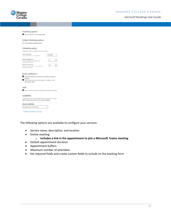

| Publishing options                                                                                                          |              |                                                           |
|-----------------------------------------------------------------------------------------------------------------------------|--------------|-----------------------------------------------------------|
| Show this service on the booking page                                                                                       |              |                                                           |
|                                                                                                                             |              |                                                           |
| Online Scheduling options                                                                                                   |              |                                                           |
| $\Box$ Use the default scheduling policy                                                                                    |              |                                                           |
| Scheduling policy                                                                                                           |              |                                                           |
| Settings for when customers can book services                                                                               |              |                                                           |
| Time increments<br>Show available times in increments of:                                                                   | 30 minutes   | $\mathcal{A}$                                             |
| Minimum lead time<br>Minimum lead time for bookings and<br>cancellations (in hours)                                         | 12           | 台                                                         |
| Maximum lead time<br>Maximum number of days in advance that a<br>booking can be made                                        | 30           | $\left\vert \frac{\partial \phi }{\partial x}\right\vert$ |
|                                                                                                                             |              |                                                           |
| Email notifications                                                                                                         |              |                                                           |
| Notify the business via email when a booking is created or<br>changed                                                       |              |                                                           |
| Send a meeting invite to the customer. in addition to the                                                                   |              |                                                           |
| confirmation email.                                                                                                         |              |                                                           |
| Staff                                                                                                                       |              |                                                           |
| Allow customers to choose a specific person for the booking                                                                 |              |                                                           |
|                                                                                                                             |              |                                                           |
| Availability                                                                                                                |              |                                                           |
| In general, a service can be booked when its staff are free. If you<br>wish to customize this further, you can do so below. |              |                                                           |
| <b>General availability:</b>                                                                                                |              |                                                           |
| Bookable when staff are free                                                                                                | $\checkmark$ |                                                           |
|                                                                                                                             |              |                                                           |
| + Set different availability for a date range                                                                               |              |                                                           |
|                                                                                                                             |              |                                                           |

The following options are available to configure your services:

- Service name, description, and location
- Online meeting

#### o **Includes a link in the appointment to join a Microsoft Teams meeting**

- Default appointment duration
- Appointment buffers
- Maximum number of attendees
- Set required fields and create custom fields to include on the booking form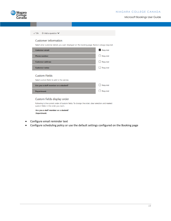

| $\vee$ Ok $+$ Add a question $\vee$                                                                                                        |                 |
|--------------------------------------------------------------------------------------------------------------------------------------------|-----------------|
| Customer information                                                                                                                       |                 |
| Select what customer details you want displayed on the booking page. Name is always required.                                              |                 |
| <b>Customer email</b>                                                                                                                      | $\vee$ Required |
| <b>Phone number</b>                                                                                                                        | Required        |
| <b>Customer address</b>                                                                                                                    | Required        |
| <b>Customer notes</b>                                                                                                                      | Required        |
| <b>Custom Fields</b>                                                                                                                       |                 |
| Select custom fields to add to the service.                                                                                                |                 |
| Are you a staff member or a student?                                                                                                       | Required        |
| <b>Department:</b>                                                                                                                         | Required        |
| Custom fields display order                                                                                                                |                 |
| Following is the current order of custom fields. To change the order, clear selection and reselect<br>custom fields in the order you want. |                 |

Are you a staff member or a student? Department:

- Configure email reminder text
- Configure scheduling policy or use the default settings configured on the Booking page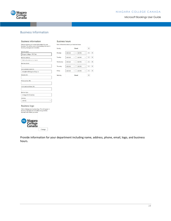



# Business Information

#### **Business information**

#### **Business hours** a. bar.

| Enter an address and contact information for your<br>business. This will be used on the booking form and in | Enter |  |
|-------------------------------------------------------------------------------------------------------------|-------|--|
| booking messages and reminders.                                                                             | Sund  |  |
| <b>Business name</b>                                                                                        | Mon   |  |
| Niagara College - PPO Test                                                                                  |       |  |
| <b>Business address</b>                                                                                     | Tues  |  |
| Add a location or a room                                                                                    |       |  |
| <b>Business phone</b>                                                                                       | Wed   |  |
|                                                                                                             | Thur  |  |
| Send customer replies to                                                                                    |       |  |
| msteglinski@niagaracollege.ca                                                                               | Frida |  |
| <b>Website URL</b>                                                                                          | Satur |  |
| Privacy policy URL                                                                                          |       |  |
| Terms and conditions URL                                                                                    |       |  |
| <b>Business type</b>                                                                                        |       |  |

 $\small \vee$ 

| Sunday    |         | Closed  |              | $+$      |     |
|-----------|---------|---------|--------------|----------|-----|
| Monday    | 8:00 AM | 5:00 PM |              | $\times$ | $+$ |
| Tuesday   | 8:00 AM | 5:00 PM | $\checkmark$ | $\times$ | $+$ |
| Wednesday | 8:00 AM | 5:00 PM | $\checkmark$ | $\times$ | $+$ |
| Thursday  | 8:00 AM | 5:00 PM |              | $\times$ |     |
| Friday    | 8:00 AM | 5:00 PM |              | $\times$ | $+$ |

#### **Business logo**

Colleges & Universities Currency  $CAD(S)$ 

Add or change your business logo. This will appear in<br>booking messages and reminders along with the<br>business information you enter.



Provide information for your department including name, address, phone, email, logo, and business hours.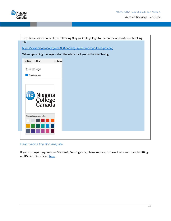



# Deactivating the Booking Site

If you no longer require your Microsoft Bookings site, please request to have it removed by submitting an ITS Help Desk ticket here.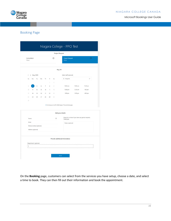



# Booking Page

|                        |                    |                         |    |                   |    | œ              |                                                            |                                                      | Œ.           |
|------------------------|--------------------|-------------------------|----|-------------------|----|----------------|------------------------------------------------------------|------------------------------------------------------|--------------|
| Consultation<br>1 hour |                    |                         |    |                   |    |                | <b>Project Request</b><br>1 hour                           |                                                      |              |
|                        |                    |                         |    |                   |    | May 04         |                                                            |                                                      |              |
| Ç                      | > May 2020         |                         |    |                   |    |                | Select staff (optional)                                    |                                                      |              |
| Su                     | Mo                 | Tu                      | We | Th                | Fr | Sa             | Anyone                                                     |                                                      | $\checkmark$ |
|                        |                    |                         |    |                   | ò. | 2              |                                                            |                                                      |              |
| 3                      |                    | 5                       | 6  | $\overline{\tau}$ | 8  | $\overline{9}$ | 10:30 am                                                   | 11:00 am                                             | 11:30 am     |
| 10                     | 11                 | 12                      | 13 | 14                | 15 | 16             | 12:00 pm                                                   | 12:30 pm                                             | $1:00$ pm    |
| 17                     | 18                 | 19                      | 20 | 21                | 22 | 23             | 3:00 pm                                                    | 3:30 pm                                              | 4:00 pm      |
| 24                     | 25                 | 26                      | 27 | 28                | 29 | 30             |                                                            |                                                      |              |
| 31                     |                    |                         |    |                   |    |                |                                                            |                                                      |              |
|                        |                    |                         |    |                   |    |                | 4) All times are in (UTC-05:00) Eastern Time (US & Canada) |                                                      |              |
|                        |                    |                         |    |                   |    |                | Add your details                                           | Please let us know if you have any special requests. |              |
| Name                   |                    |                         |    |                   |    | ⊡              | Thank you.                                                 |                                                      |              |
| Email                  |                    |                         |    |                   |    |                | Notes (optional)                                           |                                                      |              |
|                        |                    | Phone number (optional) |    |                   |    |                |                                                            |                                                      |              |
|                        | Address (optional) |                         |    |                   |    |                |                                                            |                                                      |              |
|                        |                    |                         |    |                   |    |                | Provide additional information                             |                                                      |              |
|                        |                    | Department: (optional)  |    |                   |    |                |                                                            |                                                      |              |

On the **Booking** page, customers can select from the services you have setup, choose a date, and select a time to book. They can then fill out their information and book the appointment.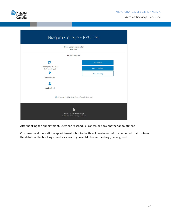Niagara<br>College<br>Canada

| Niagara College - PPO Test                                            |                |  |  |  |  |  |  |
|-----------------------------------------------------------------------|----------------|--|--|--|--|--|--|
| <b>Upcoming booking for</b><br><b>Mat Test</b>                        |                |  |  |  |  |  |  |
| <b>Project Request</b>                                                |                |  |  |  |  |  |  |
| 皑                                                                     | Reschedule     |  |  |  |  |  |  |
| Monday, May 04, 2020<br>10:30 am (1 hour)                             | Cancel booking |  |  |  |  |  |  |
| ٠                                                                     | New booking    |  |  |  |  |  |  |
| <b>Teams Meeting</b>                                                  |                |  |  |  |  |  |  |
|                                                                       |                |  |  |  |  |  |  |
| Mat Steglinski                                                        |                |  |  |  |  |  |  |
| (i) All times are in (UTC-05:00) Eastern Time (US & Canada)           |                |  |  |  |  |  |  |
|                                                                       |                |  |  |  |  |  |  |
| Powered by Microsoft Bookings<br>© 2019 Microsoft · Privacy & Cookies |                |  |  |  |  |  |  |

After booking the appointment, users can reschedule, cancel, or book another appointment.

Customers and the staff the appointment is booked with will receive a confirmation email that contains the details of the booking as well as a link to join an MS Teams meeting (If configured).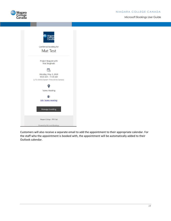



Customers will also receive a separate email to add the appointment to their appropriate calendar. For the staff who the appointment is booked with, the appointment will be automatically added to their Outlook calendar.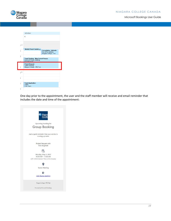

|      | <b>MONDAY</b>                                      |                                              |
|------|----------------------------------------------------|----------------------------------------------|
|      | 4                                                  |                                              |
|      |                                                    |                                              |
|      |                                                    |                                              |
| 7 AM |                                                    |                                              |
|      |                                                    |                                              |
| ٩    | Weekly Project Update &                            | <b>Consultation - Michelle</b>               |
|      |                                                    | Our office address<br>Niagara College - Test |
| ŋ    |                                                    |                                              |
|      | <b>Travel Tracking - Map Current Process</b>       |                                              |
|      | Microsoft Teams Meeting<br>Mat Stanlincki          |                                              |
|      | <b>Project Request -</b>                           |                                              |
| 1    | <b>Teams Meeting</b><br>Niagara College - PPO Test |                                              |
|      |                                                    |                                              |
| ) PM |                                                    |                                              |
|      |                                                    |                                              |
|      |                                                    |                                              |
|      |                                                    |                                              |
|      | <b>Travel Application</b>                          |                                              |
| 2    | Teams                                              |                                              |
|      | <b>Cole Hayes</b>                                  |                                              |
| ₹    |                                                    |                                              |

One day prior to the appointment, the user and the staff member will receive and email reminder that includes the date and time of the appointment: